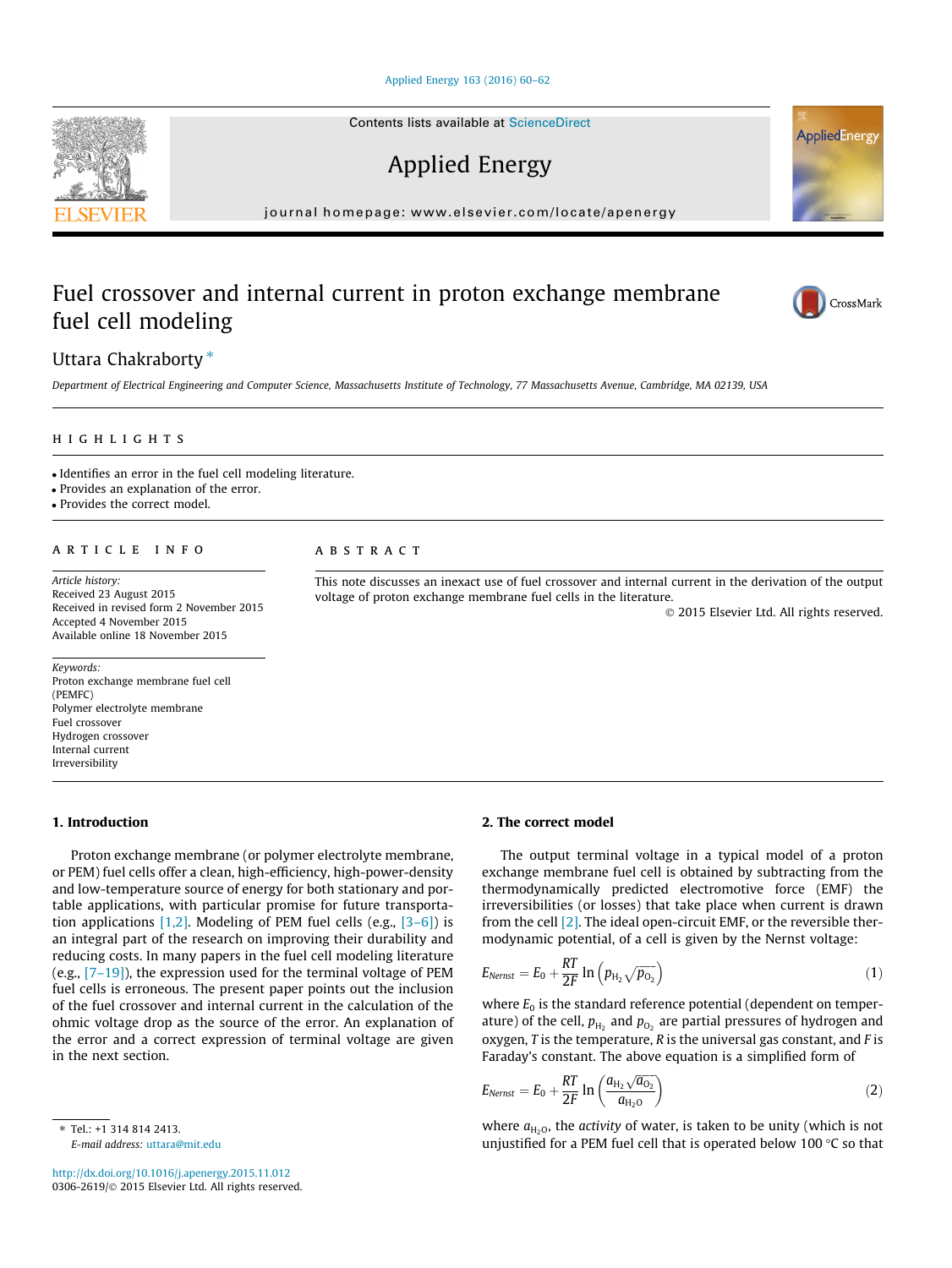#### [Applied Energy 163 \(2016\) 60–62](http://dx.doi.org/10.1016/j.apenergy.2015.11.012)

Applied Energy

journal homepage: [www.elsevier.com/locate/apenergy](http://www.elsevier.com/locate/apenergy)

voltage of proton exchange membrane fuel cells in the literature.

# Fuel crossover and internal current in proton exchange membrane fuel cell modeling

Uttara Chakraborty  $*$ 

Department of Electrical Engineering and Computer Science, Massachusetts Institute of Technology, 77 Massachusetts Avenue, Cambridge, MA 02139, USA

## highlights and the second second second second second second second second second second second second second

Identifies an error in the fuel cell modeling literature.

Provides an explanation of the error.

Provides the correct model.

Article history: Received 23 August 2015 Received in revised form 2 November 2015 Accepted 4 November 2015 Available online 18 November 2015

Keywords: Proton exchange membrane fuel cell (PEMFC) Polymer electrolyte membrane Fuel crossover Hydrogen crossover Internal current Irreversibility

#### 1. Introduction

Proton exchange membrane (or polymer electrolyte membrane, or PEM) fuel cells offer a clean, high-efficiency, high-power-density and low-temperature source of energy for both stationary and portable applications, with particular promise for future transportation applications [1,2]. Modeling of PEM fuel cells (e.g.,  $[3-6]$ ) is an integral part of the research on improving their durability and reducing costs. In many papers in the fuel cell modeling literature (e.g.,  $[7-19]$ ), the expression used for the terminal voltage of PEM fuel cells is erroneous. The present paper points out the inclusion of the fuel crossover and internal current in the calculation of the ohmic voltage drop as the source of the error. An explanation of the error and a correct expression of terminal voltage are given in the next section.

⇑ Tel.: +1 314 814 2413. E-mail address: [uttara@mit.edu](mailto:uttara@mit.edu)

<http://dx.doi.org/10.1016/j.apenergy.2015.11.012> 0306-2619/© 2015 Elsevier Ltd. All rights reserved.

#### 2. The correct model

The output terminal voltage in a typical model of a proton exchange membrane fuel cell is obtained by subtracting from the thermodynamically predicted electromotive force (EMF) the irreversibilities (or losses) that take place when current is drawn from the cell [2]. The ideal open-circuit EMF, or the reversible thermodynamic potential, of a cell is given by the Nernst voltage:

$$
E_{Nernst} = E_0 + \frac{RT}{2F} \ln \left( p_{\text{H}_2} \sqrt{p_{\text{O}_2}} \right) \tag{1}
$$

where  $E_0$  is the standard reference potential (dependent on temperature) of the cell,  $p_{\rm H_2}$  and  $p_{\rm O_2}$  are partial pressures of hydrogen and oxygen,  $T$  is the temperature,  $R$  is the universal gas constant, and  $F$  is Faraday's constant. The above equation is a simplified form of

$$
E_{Nemst} = E_0 + \frac{RT}{2F} \ln \left( \frac{a_{H_2} \sqrt{a_{O_2}}}{a_{H_2O}} \right) \tag{2}
$$

where  $a_{H<sub>2</sub>0}$ , the *activity* of water, is taken to be unity (which is not unjustified for a PEM fuel cell that is operated below 100 $\degree$ C so that









2015 Elsevier Ltd. All rights reserved.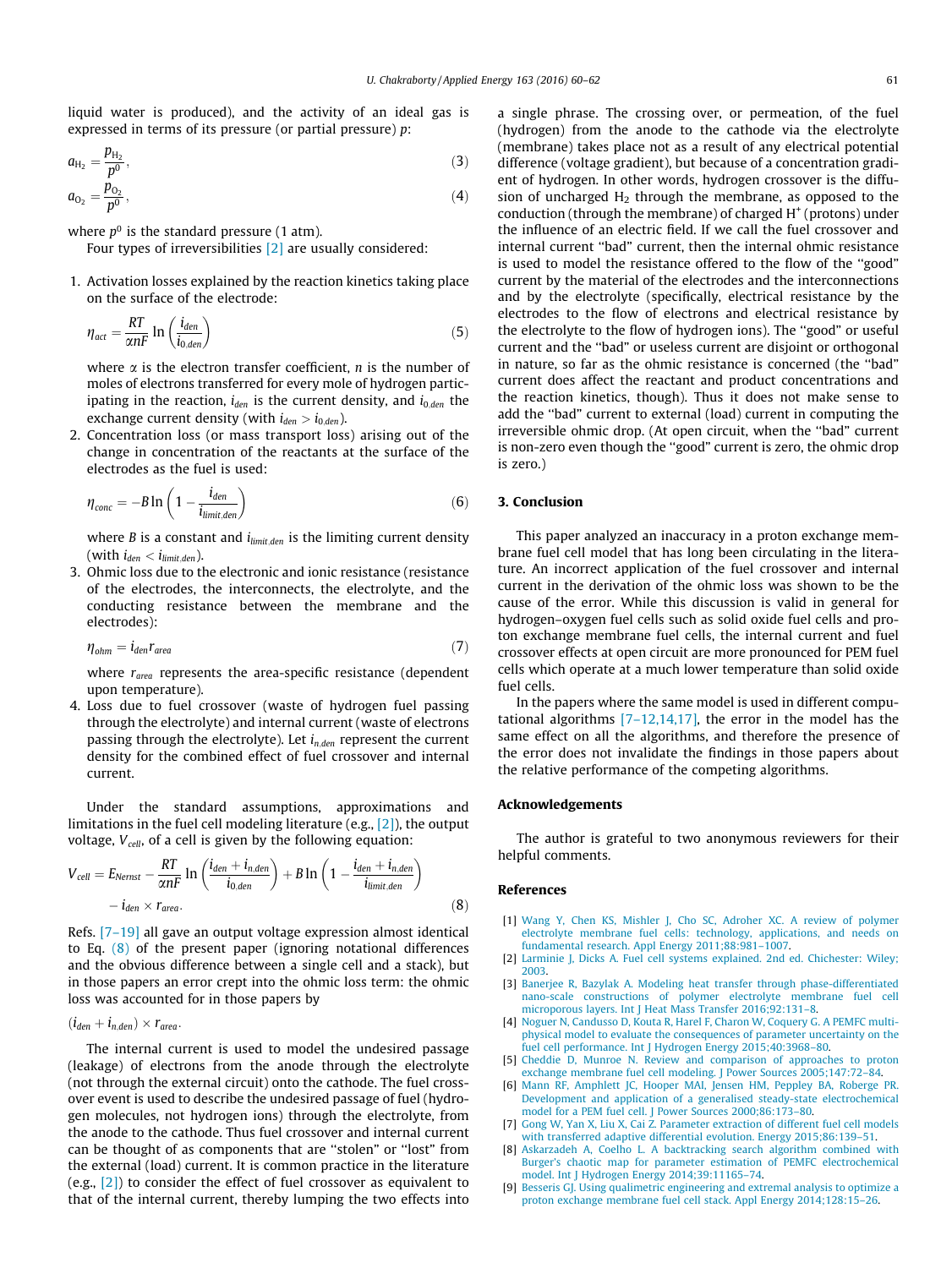liquid water is produced), and the activity of an ideal gas is expressed in terms of its pressure (or partial pressure) p:

$$
a_{\text{H}_2} = \frac{p_{\text{H}_2}}{p^0},\tag{3}
$$

$$
a_{0_2} = \frac{p_{0_2}}{p^0},\tag{4}
$$

where  $p^0$  is the standard pressure (1 atm).

Four types of irreversibilities [2] are usually considered:

1. Activation losses explained by the reaction kinetics taking place on the surface of the electrode:

$$
\eta_{act} = \frac{RT}{\alpha nF} \ln \left( \frac{i_{den}}{i_{0,den}} \right) \tag{5}
$$

where  $\alpha$  is the electron transfer coefficient,  $n$  is the number of moles of electrons transferred for every mole of hydrogen participating in the reaction,  $i_{den}$  is the current density, and  $i_{0,den}$  the exchange current density (with  $i_{den} > i_{0,den}$ ).

2. Concentration loss (or mass transport loss) arising out of the change in concentration of the reactants at the surface of the electrodes as the fuel is used:

$$
\eta_{conc} = -B \ln \left( 1 - \frac{i_{den}}{i_{limit, den}} \right) \tag{6}
$$

where  $B$  is a constant and  $i_{limit, den}$  is the limiting current density (with  $i_{den} < i_{limit, den}$ ).

3. Ohmic loss due to the electronic and ionic resistance (resistance of the electrodes, the interconnects, the electrolyte, and the conducting resistance between the membrane and the electrodes):

$$
\eta_{ohm} = i_{den} r_{area} \tag{7}
$$

where  $r_{area}$  represents the area-specific resistance (dependent upon temperature).

4. Loss due to fuel crossover (waste of hydrogen fuel passing through the electrolyte) and internal current (waste of electrons passing through the electrolyte). Let  $i_{n,den}$  represent the current density for the combined effect of fuel crossover and internal current.

Under the standard assumptions, approximations and limitations in the fuel cell modeling literature (e.g., [2]), the output voltage,  $V_{cell}$ , of a cell is given by the following equation:

$$
V_{cell} = E_{Nernst} - \frac{RT}{\alpha nF} \ln \left( \frac{i_{den} + i_{n,den}}{i_{0,den}} \right) + B \ln \left( 1 - \frac{i_{den} + i_{n,den}}{i_{limit,den}} \right) - i_{den} \times r_{area}.
$$
\n(8)

Refs. [7–19] all gave an output voltage expression almost identical to Eq. (8) of the present paper (ignoring notational differences and the obvious difference between a single cell and a stack), but in those papers an error crept into the ohmic loss term: the ohmic loss was accounted for in those papers by

$$
(i_{den}+i_{n,den})\times r_{area}.
$$

The internal current is used to model the undesired passage (leakage) of electrons from the anode through the electrolyte (not through the external circuit) onto the cathode. The fuel crossover event is used to describe the undesired passage of fuel (hydrogen molecules, not hydrogen ions) through the electrolyte, from the anode to the cathode. Thus fuel crossover and internal current can be thought of as components that are ''stolen" or ''lost" from the external (load) current. It is common practice in the literature (e.g.,  $[2]$ ) to consider the effect of fuel crossover as equivalent to that of the internal current, thereby lumping the two effects into a single phrase. The crossing over, or permeation, of the fuel (hydrogen) from the anode to the cathode via the electrolyte (membrane) takes place not as a result of any electrical potential difference (voltage gradient), but because of a concentration gradient of hydrogen. In other words, hydrogen crossover is the diffusion of uncharged  $H_2$  through the membrane, as opposed to the conduction (through the membrane) of charged  $H^+$  (protons) under the influence of an electric field. If we call the fuel crossover and internal current ''bad" current, then the internal ohmic resistance is used to model the resistance offered to the flow of the ''good" current by the material of the electrodes and the interconnections and by the electrolyte (specifically, electrical resistance by the electrodes to the flow of electrons and electrical resistance by the electrolyte to the flow of hydrogen ions). The ''good" or useful current and the ''bad" or useless current are disjoint or orthogonal in nature, so far as the ohmic resistance is concerned (the ''bad" current does affect the reactant and product concentrations and the reaction kinetics, though). Thus it does not make sense to add the ''bad" current to external (load) current in computing the irreversible ohmic drop. (At open circuit, when the ''bad" current is non-zero even though the ''good" current is zero, the ohmic drop is zero.)

### 3. Conclusion

This paper analyzed an inaccuracy in a proton exchange membrane fuel cell model that has long been circulating in the literature. An incorrect application of the fuel crossover and internal current in the derivation of the ohmic loss was shown to be the cause of the error. While this discussion is valid in general for hydrogen–oxygen fuel cells such as solid oxide fuel cells and proton exchange membrane fuel cells, the internal current and fuel crossover effects at open circuit are more pronounced for PEM fuel cells which operate at a much lower temperature than solid oxide fuel cells.

In the papers where the same model is used in different computational algorithms [7–12,14,17], the error in the model has the same effect on all the algorithms, and therefore the presence of the error does not invalidate the findings in those papers about the relative performance of the competing algorithms.

#### Acknowledgements

The author is grateful to two anonymous reviewers for their helpful comments.

#### References

- [1] [Wang Y, Chen KS, Mishler J, Cho SC, Adroher XC. A review of polymer](http://refhub.elsevier.com/S0306-2619(15)01453-1/h0005) [electrolyte membrane fuel cells: technology, applications, and needs on](http://refhub.elsevier.com/S0306-2619(15)01453-1/h0005) [fundamental research. Appl Energy 2011;88:981–1007.](http://refhub.elsevier.com/S0306-2619(15)01453-1/h0005)
- [2] [Larminie J, Dicks A. Fuel cell systems explained. 2nd ed. Chichester: Wiley;](http://refhub.elsevier.com/S0306-2619(15)01453-1/h0010) [2003.](http://refhub.elsevier.com/S0306-2619(15)01453-1/h0010)
- [3] [Banerjee R, Bazylak A. Modeling heat transfer through phase-differentiated](http://refhub.elsevier.com/S0306-2619(15)01453-1/h0015) [nano-scale constructions of polymer electrolyte membrane fuel cell](http://refhub.elsevier.com/S0306-2619(15)01453-1/h0015) [microporous layers. Int J Heat Mass Transfer 2016;92:131–8.](http://refhub.elsevier.com/S0306-2619(15)01453-1/h0015)
- [4] [Noguer N, Candusso D, Kouta R, Harel F, Charon W, Coquery G. A PEMFC multi](http://refhub.elsevier.com/S0306-2619(15)01453-1/h0020)[physical model to evaluate the consequences of parameter uncertainty on the](http://refhub.elsevier.com/S0306-2619(15)01453-1/h0020) [fuel cell performance. Int J Hydrogen Energy 2015;40:3968–80](http://refhub.elsevier.com/S0306-2619(15)01453-1/h0020).
- [5] [Cheddie D, Munroe N. Review and comparison of approaches to proton](http://refhub.elsevier.com/S0306-2619(15)01453-1/h0025) [exchange membrane fuel cell modeling. J Power Sources 2005;147:72–84](http://refhub.elsevier.com/S0306-2619(15)01453-1/h0025).
- [6] [Mann RF, Amphlett JC, Hooper MAI, Jensen HM, Peppley BA, Roberge PR.](http://refhub.elsevier.com/S0306-2619(15)01453-1/h0030) [Development and application of a generalised steady-state electrochemical](http://refhub.elsevier.com/S0306-2619(15)01453-1/h0030) [model for a PEM fuel cell. J Power Sources 2000;86:173–80](http://refhub.elsevier.com/S0306-2619(15)01453-1/h0030).
- [7] [Gong W, Yan X, Liu X, Cai Z. Parameter extraction of different fuel cell models](http://refhub.elsevier.com/S0306-2619(15)01453-1/h0035) [with transferred adaptive differential evolution. Energy 2015;86:139–51.](http://refhub.elsevier.com/S0306-2619(15)01453-1/h0035)
- [8] [Askarzadeh A, Coelho L. A backtracking search algorithm combined with](http://refhub.elsevier.com/S0306-2619(15)01453-1/h0040) [Burger's chaotic map for parameter estimation of PEMFC electrochemical](http://refhub.elsevier.com/S0306-2619(15)01453-1/h0040) [model. Int J Hydrogen Energy 2014;39:11165–74.](http://refhub.elsevier.com/S0306-2619(15)01453-1/h0040)
- [9] [Besseris GJ. Using qualimetric engineering and extremal analysis to optimize a](http://refhub.elsevier.com/S0306-2619(15)01453-1/h0045) [proton exchange membrane fuel cell stack. Appl Energy 2014;128:15–26](http://refhub.elsevier.com/S0306-2619(15)01453-1/h0045).